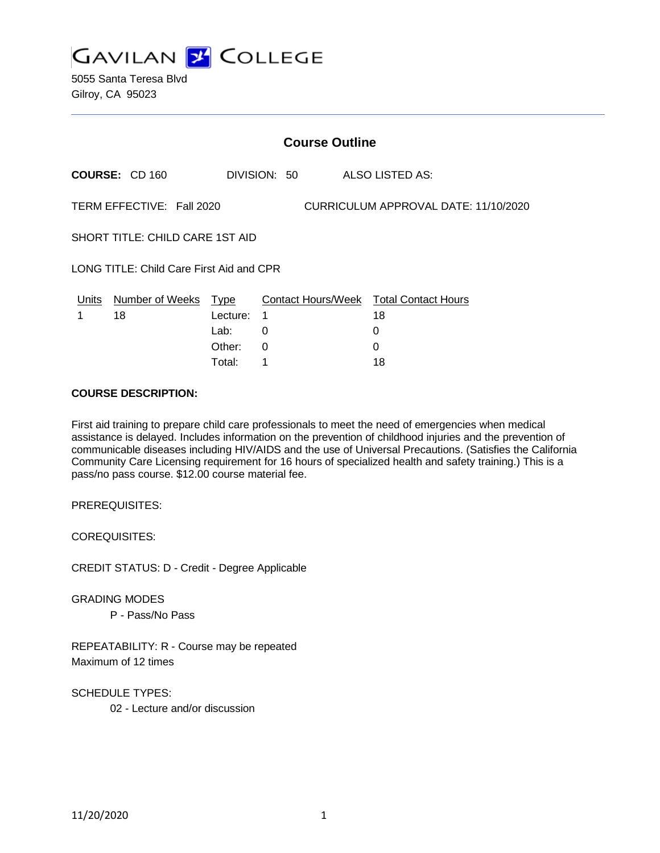

5055 Santa Teresa Blvd Gilroy, CA 95023

|                                                                   | <b>Course Outline</b>            |                  |              |  |  |                                                   |  |
|-------------------------------------------------------------------|----------------------------------|------------------|--------------|--|--|---------------------------------------------------|--|
|                                                                   | <b>COURSE: CD 160</b>            |                  | DIVISION: 50 |  |  | ALSO LISTED AS:                                   |  |
| TERM EFFECTIVE: Fall 2020<br>CURRICULUM APPROVAL DATE: 11/10/2020 |                                  |                  |              |  |  |                                                   |  |
|                                                                   | SHORT TITLE: CHILD CARE 1ST AID  |                  |              |  |  |                                                   |  |
| LONG TITLE: Child Care First Aid and CPR                          |                                  |                  |              |  |  |                                                   |  |
| 1                                                                 | Units Number of Weeks Type<br>18 | Lecture:<br>Lab: | 1<br>0       |  |  | Contact Hours/Week Total Contact Hours<br>18<br>0 |  |
|                                                                   |                                  | Other:           | 0            |  |  | 0                                                 |  |

Total: 1 18

#### **COURSE DESCRIPTION:**

First aid training to prepare child care professionals to meet the need of emergencies when medical assistance is delayed. Includes information on the prevention of childhood injuries and the prevention of communicable diseases including HIV/AIDS and the use of Universal Precautions. (Satisfies the California Community Care Licensing requirement for 16 hours of specialized health and safety training.) This is a pass/no pass course. \$12.00 course material fee.

PREREQUISITES:

COREQUISITES:

CREDIT STATUS: D - Credit - Degree Applicable

GRADING MODES P - Pass/No Pass

REPEATABILITY: R - Course may be repeated Maximum of 12 times

SCHEDULE TYPES:

02 - Lecture and/or discussion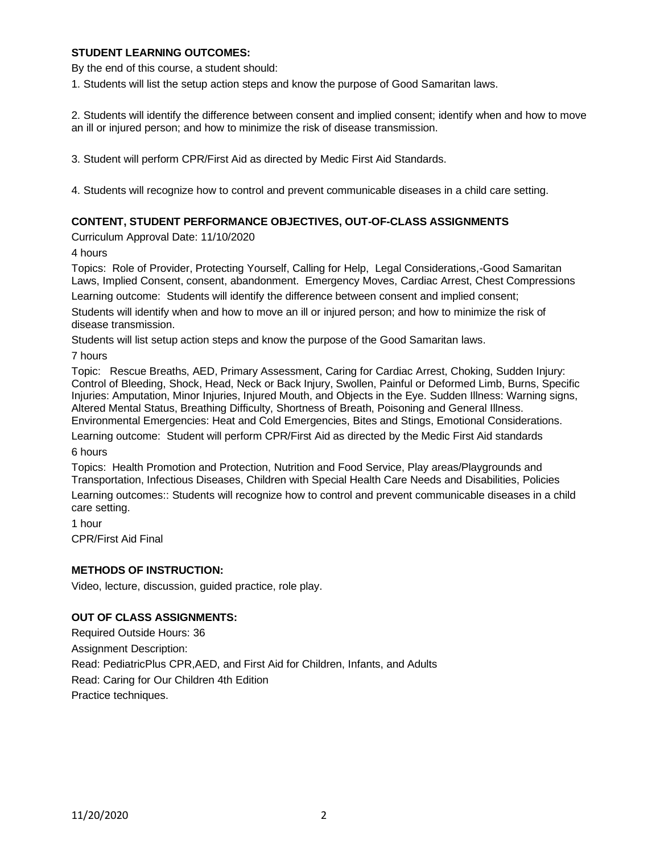### **STUDENT LEARNING OUTCOMES:**

By the end of this course, a student should:

1. Students will list the setup action steps and know the purpose of Good Samaritan laws.

2. Students will identify the difference between consent and implied consent; identify when and how to move an ill or injured person; and how to minimize the risk of disease transmission.

3. Student will perform CPR/First Aid as directed by Medic First Aid Standards.

4. Students will recognize how to control and prevent communicable diseases in a child care setting.

### **CONTENT, STUDENT PERFORMANCE OBJECTIVES, OUT-OF-CLASS ASSIGNMENTS**

Curriculum Approval Date: 11/10/2020

4 hours

Topics: Role of Provider, Protecting Yourself, Calling for Help, Legal Considerations,-Good Samaritan Laws, Implied Consent, consent, abandonment. Emergency Moves, Cardiac Arrest, Chest Compressions

Learning outcome: Students will identify the difference between consent and implied consent;

Students will identify when and how to move an ill or injured person; and how to minimize the risk of disease transmission.

Students will list setup action steps and know the purpose of the Good Samaritan laws.

7 hours

Topic: Rescue Breaths, AED, Primary Assessment, Caring for Cardiac Arrest, Choking, Sudden Injury: Control of Bleeding, Shock, Head, Neck or Back Injury, Swollen, Painful or Deformed Limb, Burns, Specific Injuries: Amputation, Minor Injuries, Injured Mouth, and Objects in the Eye. Sudden Illness: Warning signs, Altered Mental Status, Breathing Difficulty, Shortness of Breath, Poisoning and General Illness. Environmental Emergencies: Heat and Cold Emergencies, Bites and Stings, Emotional Considerations.

Learning outcome: Student will perform CPR/First Aid as directed by the Medic First Aid standards

6 hours

Topics: Health Promotion and Protection, Nutrition and Food Service, Play areas/Playgrounds and Transportation, Infectious Diseases, Children with Special Health Care Needs and Disabilities, Policies

Learning outcomes:: Students will recognize how to control and prevent communicable diseases in a child care setting.

1 hour CPR/First Aid Final

### **METHODS OF INSTRUCTION:**

Video, lecture, discussion, guided practice, role play.

### **OUT OF CLASS ASSIGNMENTS:**

Required Outside Hours: 36 Assignment Description: Read: PediatricPlus CPR,AED, and First Aid for Children, Infants, and Adults Read: Caring for Our Children 4th Edition Practice techniques.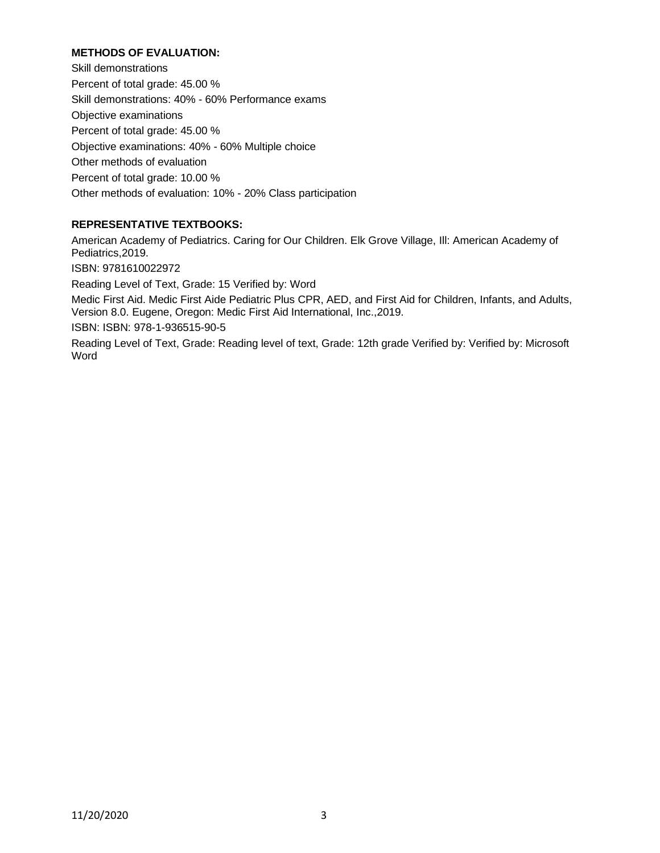## **METHODS OF EVALUATION:**

Skill demonstrations Percent of total grade: 45.00 % Skill demonstrations: 40% - 60% Performance exams Objective examinations Percent of total grade: 45.00 % Objective examinations: 40% - 60% Multiple choice Other methods of evaluation Percent of total grade: 10.00 % Other methods of evaluation: 10% - 20% Class participation

# **REPRESENTATIVE TEXTBOOKS:**

American Academy of Pediatrics. Caring for Our Children. Elk Grove Village, Ill: American Academy of Pediatrics,2019. ISBN: 9781610022972 Reading Level of Text, Grade: 15 Verified by: Word Medic First Aid. Medic First Aide Pediatric Plus CPR, AED, and First Aid for Children, Infants, and Adults, Version 8.0. Eugene, Oregon: Medic First Aid International, Inc.,2019.

ISBN: ISBN: 978-1-936515-90-5

Reading Level of Text, Grade: Reading level of text, Grade: 12th grade Verified by: Verified by: Microsoft Word